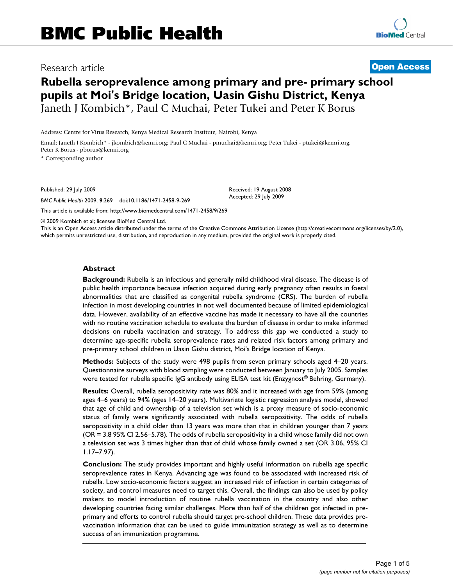# **Rubella seroprevalence among primary and pre- primary school pupils at Moi's Bridge location, Uasin Gishu District, Kenya** Janeth J Kombich\*, Paul C Muchai, Peter Tukei and Peter K Borus

Address: Centre for Virus Research, Kenya Medical Research Institute, Nairobi, Kenya

Email: Janeth J Kombich\* - jkombich@kemri.org; Paul C Muchai - pmuchai@kemri.org; Peter Tukei - ptukei@kemri.org; Peter K Borus - pborus@kemri.org

\* Corresponding author

Published: 29 July 2009

*BMC Public Health* 2009, **9**:269 doi:10.1186/1471-2458-9-269

[This article is available from: http://www.biomedcentral.com/1471-2458/9/269](http://www.biomedcentral.com/1471-2458/9/269)

© 2009 Kombich et al; licensee BioMed Central Ltd.

This is an Open Access article distributed under the terms of the Creative Commons Attribution License [\(http://creativecommons.org/licenses/by/2.0\)](http://creativecommons.org/licenses/by/2.0), which permits unrestricted use, distribution, and reproduction in any medium, provided the original work is properly cited.

#### **Abstract**

**Background:** Rubella is an infectious and generally mild childhood viral disease. The disease is of public health importance because infection acquired during early pregnancy often results in foetal abnormalities that are classified as congenital rubella syndrome (CRS). The burden of rubella infection in most developing countries in not well documented because of limited epidemiological data. However, availability of an effective vaccine has made it necessary to have all the countries with no routine vaccination schedule to evaluate the burden of disease in order to make informed decisions on rubella vaccination and strategy. To address this gap we conducted a study to determine age-specific rubella seroprevalence rates and related risk factors among primary and pre-primary school children in Uasin Gishu district, Moi's Bridge location of Kenya.

**Methods:** Subjects of the study were 498 pupils from seven primary schools aged 4–20 years. Questionnaire surveys with blood sampling were conducted between January to July 2005. Samples were tested for rubella specific IgG antibody using ELISA test kit (Enzygnost<sup>®</sup> Behring, Germany).

**Results:** Overall, rubella seropositivity rate was 80% and it increased with age from 59% (among ages 4–6 years) to 94% (ages 14–20 years). Multivariate logistic regression analysis model, showed that age of child and ownership of a television set which is a proxy measure of socio-economic status of family were significantly associated with rubella seropositivity. The odds of rubella seropositivity in a child older than 13 years was more than that in children younger than 7 years (OR = 3.8 95% CI 2.56–5.78). The odds of rubella seropositivity in a child whose family did not own a television set was 3 times higher than that of child whose family owned a set (OR 3.06, 95% CI 1.17–7.97).

**Conclusion:** The study provides important and highly useful information on rubella age specific seroprevalence rates in Kenya. Advancing age was found to be associated with increased risk of rubella. Low socio-economic factors suggest an increased risk of infection in certain categories of society, and control measures need to target this. Overall, the findings can also be used by policy makers to model introduction of routine rubella vaccination in the country and also other developing countries facing similar challenges. More than half of the children got infected in preprimary and efforts to control rubella should target pre-school children. These data provides prevaccination information that can be used to guide immunization strategy as well as to determine success of an immunization programme.



Research article **[Open Access](http://www.biomedcentral.com/info/about/charter/)**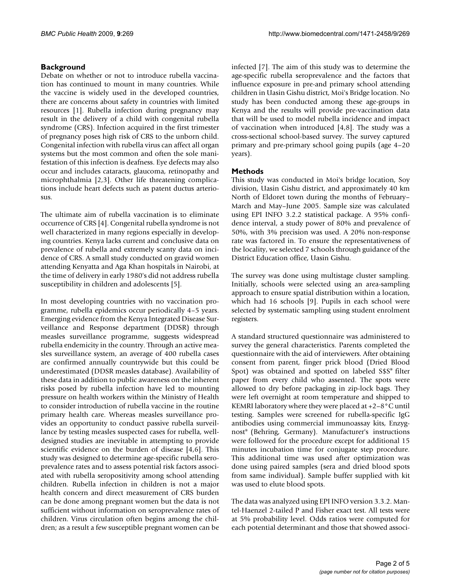# **Background**

Debate on whether or not to introduce rubella vaccination has continued to mount in many countries. While the vaccine is widely used in the developed countries, there are concerns about safety in countries with limited resources [\[1](#page-4-0)]. Rubella infection during pregnancy may result in the delivery of a child with congenital rubella syndrome (CRS). Infection acquired in the first trimester of pregnancy poses high risk of CRS to the unborn child. Congenital infection with rubella virus can affect all organ systems but the most common and often the sole manifestation of this infection is deafness. Eye defects may also occur and includes cataracts, glaucoma, retinopathy and microphthalmia [[2](#page-4-1)[,3\]](#page-4-2). Other life threatening complications include heart defects such as patent ductus arteriosus.

The ultimate aim of rubella vaccination is to eliminate occurrence of CRS [[4](#page-4-3)]. Congenital rubella syndrome is not well characterized in many regions especially in developing countries. Kenya lacks current and conclusive data on prevalence of rubella and extremely scanty data on incidence of CRS. A small study conducted on gravid women attending Kenyatta and Aga Khan hospitals in Nairobi, at the time of delivery in early 1980's did not address rubella susceptibility in children and adolescents [\[5\]](#page-4-4).

In most developing countries with no vaccination programme, rubella epidemics occur periodically 4–5 years. Emerging evidence from the Kenya Integrated Disease Surveillance and Response department (DDSR) through measles surveillance programme, suggests widespread rubella endemicity in the country. Through an active measles surveillance system, an average of 400 rubella cases are confirmed annually countrywide but this could be underestimated (DDSR measles database). Availability of these data in addition to public awareness on the inherent risks posed by rubella infection have led to mounting pressure on health workers within the Ministry of Health to consider introduction of rubella vaccine in the routine primary health care. Whereas measles surveillance provides an opportunity to conduct passive rubella surveillance by testing measles suspected cases for rubella, welldesigned studies are inevitable in attempting to provide scientific evidence on the burden of disease [\[4](#page-4-3),[6](#page-4-5)]. This study was designed to determine age-specific rubella seroprevalence rates and to assess potential risk factors associated with rubella seropositivity among school attending children. Rubella infection in children is not a major health concern and direct measurement of CRS burden can be done among pregnant women but the data is not sufficient without information on seroprevalence rates of children. Virus circulation often begins among the children; as a result a few susceptible pregnant women can be infected [\[7\]](#page-4-6). The aim of this study was to determine the age-specific rubella seroprevalence and the factors that influence exposure in pre-and primary school attending children in Uasin Gishu district, Moi's Bridge location. No study has been conducted among these age-groups in Kenya and the results will provide pre-vaccination data that will be used to model rubella incidence and impact of vaccination when introduced [[4](#page-4-3)[,8\]](#page-4-7). The study was a cross-sectional school-based survey. The survey captured primary and pre-primary school going pupils (age 4–20 years).

# **Methods**

This study was conducted in Moi's bridge location, Soy division, Uasin Gishu district, and approximately 40 km North of Eldoret town during the months of February– March and May–June 2005. Sample size was calculated using EPI INFO 3.2.2 statistical package. A 95% confidence interval, a study power of 80% and prevalence of 50%, with 3% precision was used. A 20% non-response rate was factored in. To ensure the representativeness of the locality, we selected 7 schools through guidance of the District Education office, Uasin Gishu.

The survey was done using multistage cluster sampling. Initially, schools were selected using an area-sampling approach to ensure spatial distribution within a location, which had 16 schools [[9](#page-4-8)]. Pupils in each school were selected by systematic sampling using student enrolment registers.

A standard structured questionnaire was administered to survey the general characteristics. Parents completed the questionnaire with the aid of interviewers. After obtaining consent from parent, finger prick blood (Dried Blood Spot) was obtained and spotted on labeled S\$S® filter paper from every child who assented. The spots were allowed to dry before packaging in zip-lock bags. They were left overnight at room temperature and shipped to KEMRI laboratory where they were placed at +2–8°C until testing. Samples were screened for rubella-specific IgG antibodies using commercial immunoassay kits, Enzygnost® (Behring, Germany). Manufacturer's instructions were followed for the procedure except for additional 15 minutes incubation time for conjugate step procedure. This additional time was used after optimization was done using paired samples (sera and dried blood spots from same individual). Sample buffer supplied with kit was used to elute blood spots.

The data was analyzed using EPI INFO version 3.3.2. Mantel-Haenzel 2-tailed P and Fisher exact test. All tests were at 5% probability level. Odds ratios were computed for each potential determinant and those that showed associ-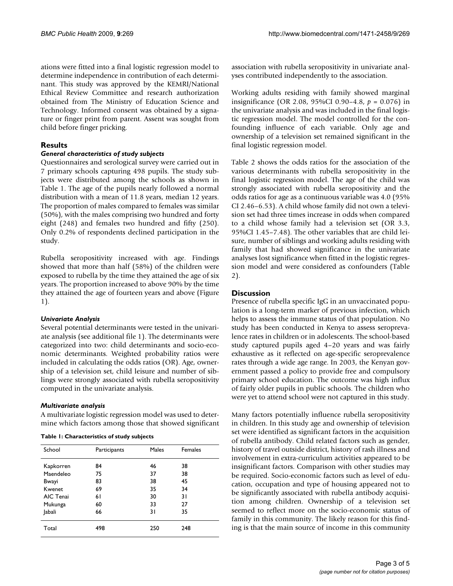ations were fitted into a final logistic regression model to determine independence in contribution of each determinant. This study was approved by the KEMRI/National Ethical Review Committee and research authorization obtained from The Ministry of Education Science and Technology. Informed consent was obtained by a signature or finger print from parent. Assent was sought from child before finger pricking.

# **Results**

# *General characteristics of study subjects*

Questionnaires and serological survey were carried out in 7 primary schools capturing 498 pupils. The study subjects were distributed among the schools as shown in Table [1.](#page-2-0) The age of the pupils nearly followed a normal distribution with a mean of 11.8 years, median 12 years. The proportion of males compared to females was similar (50%), with the males comprising two hundred and forty eight (248) and females two hundred and fifty (250). Only 0.2% of respondents declined participation in the study.

Rubella seropositivity increased with age. Findings showed that more than half (58%) of the children were exposed to rubella by the time they attained the age of six years. The proportion increased to above 90% by the time they attained the age of fourteen years and above (Figure [1\)](#page-3-0).

# *Univariate Analysis*

Several potential determinants were tested in the univariate analysis (see additional file [1\)](#page-4-9). The determinants were categorized into two: child determinants and socio-economic determinants. Weighted probability ratios were included in calculating the odds ratios (OR). Age, ownership of a television set, child leisure and number of siblings were strongly associated with rubella seropositivity computed in the univariate analysis.

# *Multivariate analysis*

A multivariate logistic regression model was used to determine which factors among those that showed significant

<span id="page-2-0"></span>

|  |  | Table 1: Characteristics of study subjects |  |  |  |
|--|--|--------------------------------------------|--|--|--|
|--|--|--------------------------------------------|--|--|--|

| School        | Participants | Males | Females |
|---------------|--------------|-------|---------|
| Kapkorren     | 84           | 46    | 38      |
| Maendeleo     | 75           | 37    | 38      |
| Bwayi         | 83           | 38    | 45      |
| Kwenet        | 69           | 35    | 34      |
| AIC Tenai     | 61           | 30    | 31      |
| Mukunga       | 60           | 33    | 27      |
| <b>Jabali</b> | 66           | 31    | 35      |
| Total         | 498          | 250   | 248     |

association with rubella seropositivity in univariate analyses contributed independently to the association.

Working adults residing with family showed marginal insignificance (OR 2.08, 95%CI 0.90–4.8, *p* = 0.076) in the univariate analysis and was included in the final logistic regression model. The model controlled for the confounding influence of each variable. Only age and ownership of a television set remained significant in the final logistic regression model.

Table [2](#page-3-1) shows the odds ratios for the association of the various determinants with rubella seropositivity in the final logistic regression model. The age of the child was strongly associated with rubella seropositivity and the odds ratios for age as a continuous variable was 4.0 (95% CI 2.46–6.53). A child whose family did not own a television set had three times increase in odds when compared to a child whose family had a television set (OR 3.3, 95%CI 1.45–7.48). The other variables that are child leisure, number of siblings and working adults residing with family that had showed significance in the univariate analyses lost significance when fitted in the logistic regression model and were considered as confounders (Table [2](#page-3-1)).

# **Discussion**

Presence of rubella specific IgG in an unvaccinated population is a long-term marker of previous infection, which helps to assess the immune status of that population. No study has been conducted in Kenya to assess seroprevalence rates in children or in adolescents. The school-based study captured pupils aged 4–20 years and was fairly exhaustive as it reflected on age-specific seroprevalence rates through a wide age range. In 2003, the Kenyan government passed a policy to provide free and compulsory primary school education. The outcome was high influx of fairly older pupils in public schools. The children who were yet to attend school were not captured in this study.

Many factors potentially influence rubella seropositivity in children. In this study age and ownership of television set were identified as significant factors in the acquisition of rubella antibody. Child related factors such as gender, history of travel outside district, history of rash illness and involvement in extra-curriculum activities appeared to be insignificant factors. Comparison with other studies may be required. Socio-economic factors such as level of education, occupation and type of housing appeared not to be significantly associated with rubella antibody acquisition among children. Ownership of a television set seemed to reflect more on the socio-economic status of family in this community. The likely reason for this finding is that the main source of income in this community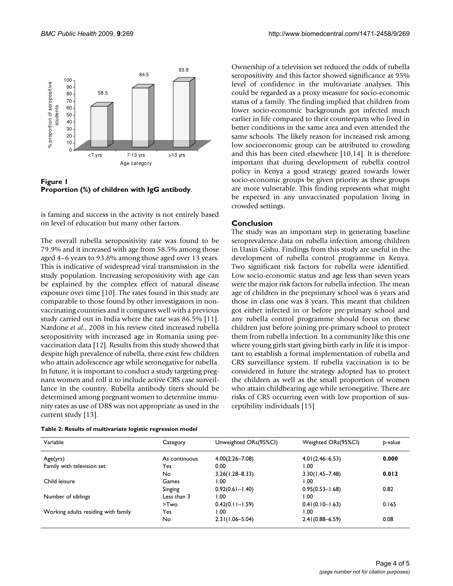<span id="page-3-0"></span>

**Proportion (%) of children with IgG antibody**.

is faming and success in the activity is not entirely based on level of education but many other factors.

The overall rubella seropositivity rate was found to be 79.9% and it increased with age from 58.5% among those aged 4–6 years to 93.8% among those aged over 13 years. This is indicative of widespread viral transmission in the study population. Increasing seropositivity with age can be explained by the complex effect of natural disease exposure over time [\[10\]](#page-4-10). The rates found in this study are comparable to those found by other investigators in nonvaccinating countries and it compares well with a previous study carried out in India where the rate was 86.5% [\[11](#page-4-11)]. Nardone *et al.*, 2008 in his review cited increased rubella seropositivity with increased age in Romania using prevaccination data [\[12\]](#page-4-12). Results from this study showed that despite high prevalence of rubella, there exist few children who attain adolescence age while seronegative for rubella. In future, it is important to conduct a study targeting pregnant women and roll it to include active CRS case surveillance in the country. Rubella antibody titers should be determined among pregnant women to determine immunity rates as use of DBS was not appropriate as used in the current study [\[13](#page-4-13)].

<span id="page-3-1"></span>

| Table 2: Results of multivariate logistic regression model |  |  |  |  |  |
|------------------------------------------------------------|--|--|--|--|--|
|------------------------------------------------------------|--|--|--|--|--|

Ownership of a television set reduced the odds of rubella seropositivity and this factor showed significance at 95% level of confidence in the multivariate analyses. This could be regarded as a proxy measure for socio-economic status of a family. The finding implied that children from lower socio-economic backgrounds got infected much earlier in life compared to their counterparts who lived in better conditions in the same area and even attended the same schools. The likely reason for increased risk among low socioeconomic group can be attributed to crowding and this has been cited elsewhere [\[10](#page-4-10),[14\]](#page-4-14). It is therefore important that during development of rubella control policy in Kenya a good strategy geared towards lower socio-economic groups be given priority as these groups are more vulnerable. This finding represents what might be expected in any unvaccinated population living in crowded settings.

#### **Conclusion**

The study was an important step in generating baseline seroprevalence data on rubella infection among children in Uasin Gishu. Findings from this study are useful in the development of rubella control programme in Kenya. Two significant risk factors for rubella were identified. Low socio-economic status and age less than seven years were the major risk factors for rubella infection. The mean age of children in the preprimary school was 6 years and those in class one was 8 years. This meant that children got either infected in or before pre-primary school and any rubella control programme should focus on these children just before joining pre-primary school to protect them from rubella infection. In a community like this one where young girls start giving birth early in life it is important to establish a formal implementation of rubella and CRS surveillance system. If rubella vaccination is to be considered in future the strategy adopted has to protect the children as well as the small proportion of women who attain childbearing age while seronegative. There are risks of CRS occurring even with low proportion of susceptibility individuals [[15\]](#page-4-15)

| Variable                            | Category      | Unweighted ORs(95%CI) | Weighted ORs(95%Cl) | p-value |
|-------------------------------------|---------------|-----------------------|---------------------|---------|
| Age(yrs)                            | As continuous | $4.00(2.26 - 7.08)$   | $4.01(2.46 - 6.53)$ | 0.000   |
| Family with television set          | Yes           | 0.00                  | 1.00                |         |
|                                     | No            | $3.26(1.28 - 8.33)$   | $3.30(1.45 - 7.48)$ | 0.012   |
| Child leisure                       | Games         | 1.00                  | 1.00                |         |
|                                     | Singing       | $0.92(0.61 - 1.40)$   | $0.95(0.53 - 1.68)$ | 0.82    |
| Number of siblings                  | Less than 3   | 1.00                  | 1.00                |         |
|                                     | >Two          | $0.42(0.11 - 1.59)$   | $0.41(0.10 - 1.63)$ | 0.165   |
| Working adults residing with family | Yes           | 1.00                  | 1.00                |         |
|                                     | No            | $2.31(1.06 - 5.04)$   | $2.41(0.88 - 6.59)$ | 0.08    |